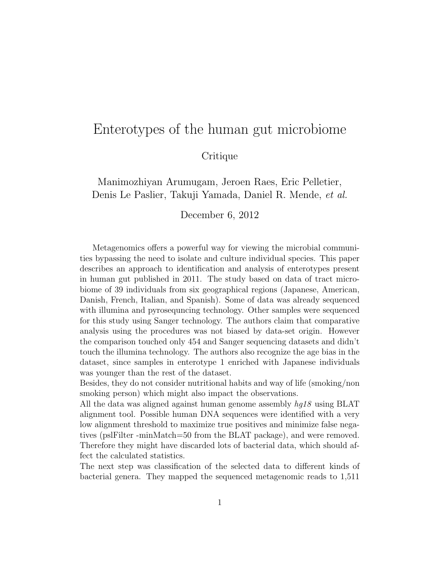## Enterotypes of the human gut microbiome

## **Critique**

## Manimozhiyan Arumugam, Jeroen Raes, Eric Pelletier, Denis Le Paslier, Takuji Yamada, Daniel R. Mende, et al.

## December 6, 2012

Metagenomics offers a powerful way for viewing the microbial communities bypassing the need to isolate and culture individual species. This paper describes an approach to identification and analysis of enterotypes present in human gut published in 2011. The study based on data of tract microbiome of 39 individuals from six geographical regions (Japanese, American, Danish, French, Italian, and Spanish). Some of data was already sequenced with illumina and pyrosequncing technology. Other samples were sequenced for this study using Sanger technology. The authors claim that comparative analysis using the procedures was not biased by data-set origin. However the comparison touched only 454 and Sanger sequencing datasets and didn't touch the illumina technology. The authors also recognize the age bias in the dataset, since samples in enterotype 1 enriched with Japanese individuals was younger than the rest of the dataset.

Besides, they do not consider nutritional habits and way of life (smoking/non smoking person) which might also impact the observations.

All the data was aligned against human genome assembly  $hq18$  using BLAT alignment tool. Possible human DNA sequences were identified with a very low alignment threshold to maximize true positives and minimize false negatives (pslFilter -minMatch=50 from the BLAT package), and were removed. Therefore they might have discarded lots of bacterial data, which should affect the calculated statistics.

The next step was classification of the selected data to different kinds of bacterial genera. They mapped the sequenced metagenomic reads to 1,511